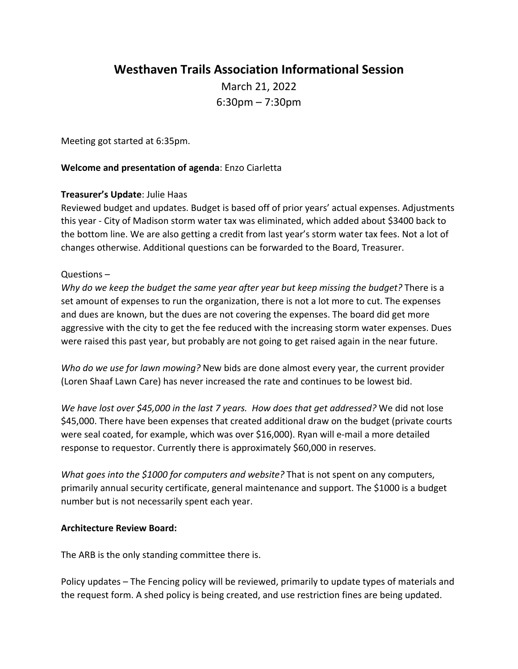# **Westhaven Trails Association Informational Session**

March 21, 2022 6:30pm – 7:30pm

Meeting got started at 6:35pm.

## **Welcome and presentation of agenda**: Enzo Ciarletta

## **Treasurer's Update**: Julie Haas

Reviewed budget and updates. Budget is based off of prior years' actual expenses. Adjustments this year - City of Madison storm water tax was eliminated, which added about \$3400 back to the bottom line. We are also getting a credit from last year's storm water tax fees. Not a lot of changes otherwise. Additional questions can be forwarded to the Board, Treasurer.

## Questions –

*Why do we keep the budget the same year after year but keep missing the budget?* There is a set amount of expenses to run the organization, there is not a lot more to cut. The expenses and dues are known, but the dues are not covering the expenses. The board did get more aggressive with the city to get the fee reduced with the increasing storm water expenses. Dues were raised this past year, but probably are not going to get raised again in the near future.

*Who do we use for lawn mowing?* New bids are done almost every year, the current provider (Loren Shaaf Lawn Care) has never increased the rate and continues to be lowest bid.

*We have lost over \$45,000 in the last 7 years. How does that get addressed?* We did not lose \$45,000. There have been expenses that created additional draw on the budget (private courts were seal coated, for example, which was over \$16,000). Ryan will e-mail a more detailed response to requestor. Currently there is approximately \$60,000 in reserves.

*What goes into the \$1000 for computers and website?* That is not spent on any computers, primarily annual security certificate, general maintenance and support. The \$1000 is a budget number but is not necessarily spent each year.

#### **Architecture Review Board:**

The ARB is the only standing committee there is.

Policy updates – The Fencing policy will be reviewed, primarily to update types of materials and the request form. A shed policy is being created, and use restriction fines are being updated.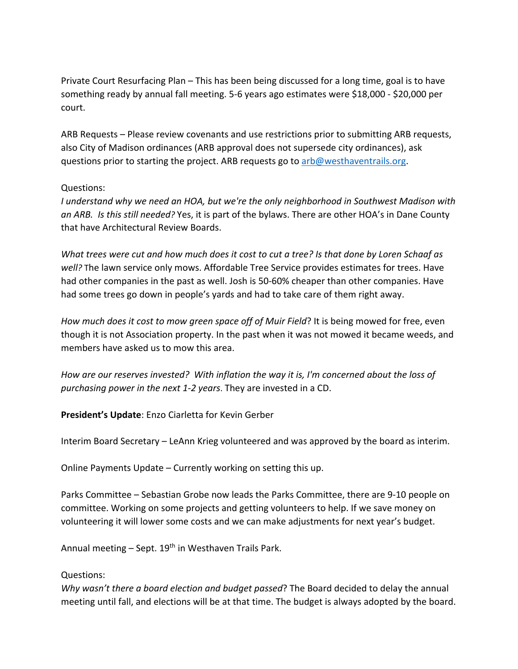Private Court Resurfacing Plan – This has been being discussed for a long time, goal is to have something ready by annual fall meeting. 5-6 years ago estimates were \$18,000 - \$20,000 per court.

ARB Requests – Please review covenants and use restrictions prior to submitting ARB requests, also City of Madison ordinances (ARB approval does not supersede city ordinances), ask questions prior to starting the project. ARB requests go to arb@westhaventrails.org.

## Questions:

*I understand why we need an HOA, but we're the only neighborhood in Southwest Madison with an ARB. Is this still needed?* Yes, it is part of the bylaws. There are other HOA's in Dane County that have Architectural Review Boards.

*What trees were cut and how much does it cost to cut a tree? Is that done by Loren Schaaf as well?* The lawn service only mows. Affordable Tree Service provides estimates for trees. Have had other companies in the past as well. Josh is 50-60% cheaper than other companies. Have had some trees go down in people's yards and had to take care of them right away.

*How much does it cost to mow green space off of Muir Field*? It is being mowed for free, even though it is not Association property. In the past when it was not mowed it became weeds, and members have asked us to mow this area.

*How are our reserves invested? With inflation the way it is, I'm concerned about the loss of purchasing power in the next 1-2 years*. They are invested in a CD.

**President's Update**: Enzo Ciarletta for Kevin Gerber

Interim Board Secretary – LeAnn Krieg volunteered and was approved by the board as interim.

Online Payments Update – Currently working on setting this up.

Parks Committee – Sebastian Grobe now leads the Parks Committee, there are 9-10 people on committee. Working on some projects and getting volunteers to help. If we save money on volunteering it will lower some costs and we can make adjustments for next year's budget.

Annual meeting  $-$  Sept. 19<sup>th</sup> in Westhaven Trails Park.

#### Questions:

*Why wasn't there a board election and budget passed*? The Board decided to delay the annual meeting until fall, and elections will be at that time. The budget is always adopted by the board.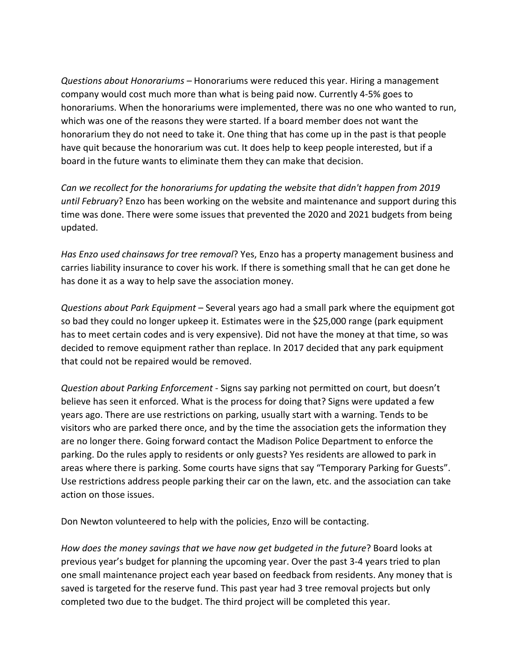*Questions about Honorariums –* Honorariums were reduced this year. Hiring a management company would cost much more than what is being paid now. Currently 4-5% goes to honorariums. When the honorariums were implemented, there was no one who wanted to run, which was one of the reasons they were started. If a board member does not want the honorarium they do not need to take it. One thing that has come up in the past is that people have quit because the honorarium was cut. It does help to keep people interested, but if a board in the future wants to eliminate them they can make that decision.

*Can we recollect for the honorariums for updating the website that didn't happen from 2019 until February*? Enzo has been working on the website and maintenance and support during this time was done. There were some issues that prevented the 2020 and 2021 budgets from being updated.

*Has Enzo used chainsaws for tree removal*? Yes, Enzo has a property management business and carries liability insurance to cover his work. If there is something small that he can get done he has done it as a way to help save the association money.

*Questions about Park Equipment* – Several years ago had a small park where the equipment got so bad they could no longer upkeep it. Estimates were in the \$25,000 range (park equipment has to meet certain codes and is very expensive). Did not have the money at that time, so was decided to remove equipment rather than replace. In 2017 decided that any park equipment that could not be repaired would be removed.

*Question about Parking Enforcement* - Signs say parking not permitted on court, but doesn't believe has seen it enforced. What is the process for doing that? Signs were updated a few years ago. There are use restrictions on parking, usually start with a warning. Tends to be visitors who are parked there once, and by the time the association gets the information they are no longer there. Going forward contact the Madison Police Department to enforce the parking. Do the rules apply to residents or only guests? Yes residents are allowed to park in areas where there is parking. Some courts have signs that say "Temporary Parking for Guests". Use restrictions address people parking their car on the lawn, etc. and the association can take action on those issues.

Don Newton volunteered to help with the policies, Enzo will be contacting.

*How does the money savings that we have now get budgeted in the future*? Board looks at previous year's budget for planning the upcoming year. Over the past 3-4 years tried to plan one small maintenance project each year based on feedback from residents. Any money that is saved is targeted for the reserve fund. This past year had 3 tree removal projects but only completed two due to the budget. The third project will be completed this year.